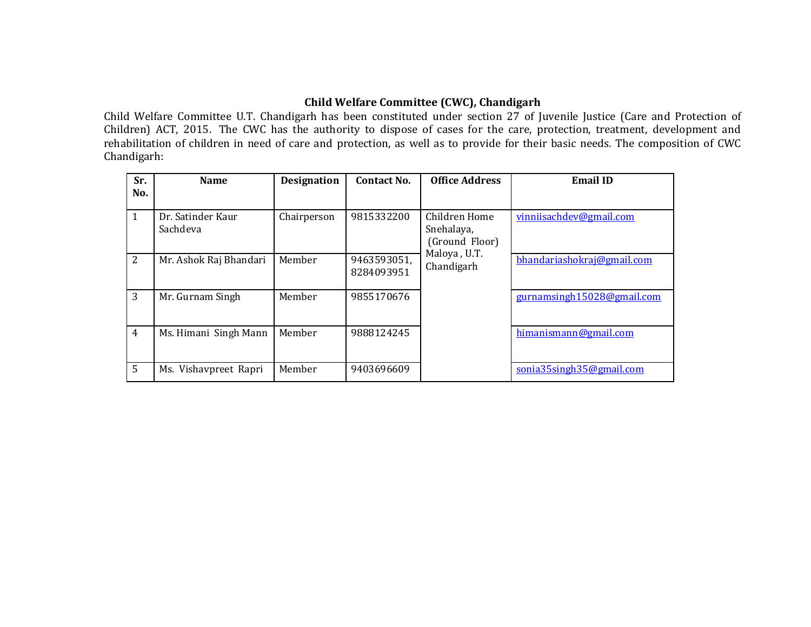## **Child Welfare Committee (CWC), Chandigarh**

Child Welfare Committee U.T. Chandigarh has been constituted under section 27 of Juvenile Justice (Care and Protection of Children) ACT, 2015. The CWC has the authority to dispose of cases for the care, protection, treatment, development and rehabilitation of children in need of care and protection, as well as to provide for their basic needs. The composition of CWC Chandigarh:

| Sr.            | <b>Name</b>                   | <b>Designation</b> | <b>Contact No.</b>        | <b>Office Address</b>                                                       | <b>Email ID</b>            |
|----------------|-------------------------------|--------------------|---------------------------|-----------------------------------------------------------------------------|----------------------------|
| No.            |                               |                    |                           |                                                                             |                            |
| 1              | Dr. Satinder Kaur<br>Sachdeva | Chairperson        | 9815332200                | Children Home<br>Snehalaya,<br>(Ground Floor)<br>Maloya, U.T.<br>Chandigarh | vinniisachdev@gmail.com    |
| 2              | Mr. Ashok Raj Bhandari        | Member             | 9463593051,<br>8284093951 |                                                                             | bhandariashokraj@gmail.com |
| 3              | Mr. Gurnam Singh              | Member             | 9855170676                |                                                                             | gurnamsingh15028@gmail.com |
| $\overline{4}$ | Ms. Himani Singh Mann         | Member             | 9888124245                |                                                                             | himanismann@gmail.com      |
| 5              | Ms. Vishavpreet Rapri         | Member             | 9403696609                |                                                                             | sonia35singh35@gmail.com   |